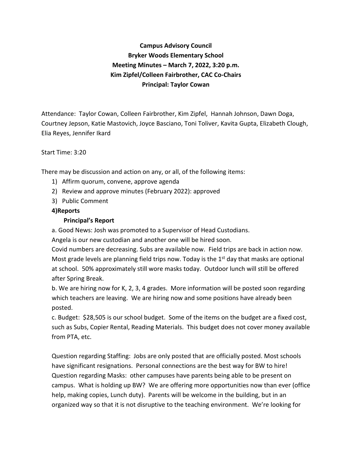# **Campus Advisory Council Bryker Woods Elementary School Meeting Minutes – March 7, 2022, 3:20 p.m. Kim Zipfel/Colleen Fairbrother, CAC Co-Chairs Principal: Taylor Cowan**

Attendance: Taylor Cowan, Colleen Fairbrother, Kim Zipfel, Hannah Johnson, Dawn Doga, Courtney Jepson, Katie Mastovich, Joyce Basciano, Toni Toliver, Kavita Gupta, Elizabeth Clough, Elia Reyes, Jennifer Ikard

#### Start Time: 3:20

There may be discussion and action on any, or all, of the following items:

- 1) Affirm quorum, convene, approve agenda
- 2) Review and approve minutes (February 2022): approved
- 3) Public Comment

#### **4)Reports**

#### **Principal's Report**

a. Good News: Josh was promoted to a Supervisor of Head Custodians.

Angela is our new custodian and another one will be hired soon.

Covid numbers are decreasing. Subs are available now. Field trips are back in action now. Most grade levels are planning field trips now. Today is the  $1<sup>st</sup>$  day that masks are optional at school. 50% approximately still wore masks today. Outdoor lunch will still be offered after Spring Break.

b. We are hiring now for K, 2, 3, 4 grades. More information will be posted soon regarding which teachers are leaving. We are hiring now and some positions have already been posted.

c. Budget: \$28,505 is our school budget. Some of the items on the budget are a fixed cost, such as Subs, Copier Rental, Reading Materials. This budget does not cover money available from PTA, etc.

Question regarding Staffing: Jobs are only posted that are officially posted. Most schools have significant resignations. Personal connections are the best way for BW to hire! Question regarding Masks: other campuses have parents being able to be present on campus. What is holding up BW? We are offering more opportunities now than ever (office help, making copies, Lunch duty). Parents will be welcome in the building, but in an organized way so that it is not disruptive to the teaching environment. We're looking for